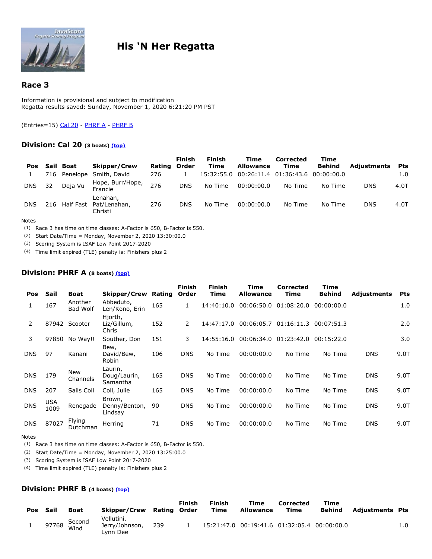

# **His 'N Her Regatta**

# **Race 3**

Information is provisional and subject to modification Regatta results saved: Sunday, November 1, 2020 6:21:20 PM PST

<span id="page-0-0"></span>(Entries=15) Cal 20 - PHRF A - PHRF B

# **Division: Cal 20 (3 boats) [\(top\)](#page-0-0)**

| Pos        |    | Sail Boat | <b>Skipper/Crew</b>                               | Rating Order | <b>Finish</b> | <b>Finish</b><br>Time | Time<br><b>Allowance</b>                    | Corrected<br>Time | Time<br>Behind | <b>Adjustments</b> | <b>Pts</b> |
|------------|----|-----------|---------------------------------------------------|--------------|---------------|-----------------------|---------------------------------------------|-------------------|----------------|--------------------|------------|
|            |    |           | 716 Penelope Smith, David                         | 276          |               |                       | 15:32:55.0 00:26:11.4 01:36:43.6 00:00:00.0 |                   |                |                    | 1.0        |
| <b>DNS</b> | 32 | Deja Vu   | Hope, Burr/Hope,<br>Francie                       | 276          | <b>DNS</b>    | No Time               | 00:00:00.0                                  | No Time           | No Time        | <b>DNS</b>         | 4.0T       |
| <b>DNS</b> |    |           | Lenahan,<br>216 Half Fast Pat/Lenahan,<br>Christi | 276          | <b>DNS</b>    | No Time               | 00:00:00.0                                  | No Time           | No Time        | <b>DNS</b>         | 4.0T       |

#### Notes

(1) Race 3 has time on time classes: A-Factor is 650, B-Factor is 550.

(2) Start Date/Time = Monday, November 2, 2020 13:30:00.0

(3) Scoring System is ISAF Low Point 2017-2020

(4) Time limit expired (TLE) penalty is: Finishers plus 2

### **Division: PHRF A (8 boats) [\(top\)](#page-0-0)**

| Pos        | Sail               | Boat                       | Skipper/Crew                        | Rating | <b>Finish</b><br>Order | Finish<br>Time | Time<br><b>Allowance</b> | <b>Corrected</b><br>Time | Time<br><b>Behind</b> | <b>Adjustments</b> | Pts  |
|------------|--------------------|----------------------------|-------------------------------------|--------|------------------------|----------------|--------------------------|--------------------------|-----------------------|--------------------|------|
| 1          | 167                | Another<br><b>Bad Wolf</b> | Abbeduto,<br>Len/Kono, Erin         | 165    | 1                      | 14:40:10.0     | 00:06:50.0               | 01:08:20.0               | 00:00:00.0            |                    | 1.0  |
| 2          | 87942              | Scooter                    | Hjorth,<br>Liz/Gillum,<br>Chris     | 152    | 2                      | 14:47:17.0     | 00:06:05.7               | 01:16:11.3               | 00:07:51.3            |                    | 2.0  |
| 3          | 97850              | No Way!!                   | Souther, Don                        | 151    | 3                      | 14:55:16.0     | 00:06:34.0               | 01:23:42.0               | 00:15:22.0            |                    | 3.0  |
| <b>DNS</b> | 97                 | Kanani                     | Bew,<br>David/Bew,<br>Robin         | 106    | <b>DNS</b>             | No Time        | 00:00:00.0               | No Time                  | No Time               | <b>DNS</b>         | 9.0T |
| <b>DNS</b> | 179                | New<br>Channels            | Laurin,<br>Doug/Laurin,<br>Samantha | 165    | <b>DNS</b>             | No Time        | 00:00:00.0               | No Time                  | No Time               | <b>DNS</b>         | 9.0T |
| <b>DNS</b> | 207                | Sails Coll                 | Coll, Julie                         | 165    | <b>DNS</b>             | No Time        | 00:00:00.0               | No Time                  | No Time               | <b>DNS</b>         | 9.0T |
| <b>DNS</b> | <b>USA</b><br>1009 | Renegade                   | Brown,<br>Denny/Benton,<br>Lindsay  | 90     | <b>DNS</b>             | No Time        | 00:00:00.0               | No Time                  | No Time               | <b>DNS</b>         | 9.0T |
| <b>DNS</b> | 87027              | Flying<br>Dutchman         | Herring                             | 71     | <b>DNS</b>             | No Time        | 00:00:00.0               | No Time                  | No Time               | <b>DNS</b>         | 9.0T |

#### Notes

(1) Race 3 has time on time classes: A-Factor is 650, B-Factor is 550.

(2) Start Date/Time = Monday, November 2, 2020 13:25:00.0

(3) Scoring System is ISAF Low Point 2017-2020

(4) Time limit expired (TLE) penalty is: Finishers plus 2

### **Division: PHRF B (4 boats) [\(top\)](#page-0-0)**

| Pos | Sail | <b>Boat</b>          | Skipper/Crew Rating Order                |     | Finish | <b>Finish</b><br>Time | Time<br><b>Allowance</b>                    | <b>Corrected</b><br>Time | Time<br>Behind | Adjustments Pts |     |
|-----|------|----------------------|------------------------------------------|-----|--------|-----------------------|---------------------------------------------|--------------------------|----------------|-----------------|-----|
|     |      | 97768 Second<br>Wind | Vellutini,<br>Jerry/Johnson,<br>Lvnn Dee | 239 |        |                       | 15:21:47.0 00:19:41.6 01:32:05.4 00:00:00.0 |                          |                |                 | 1.0 |